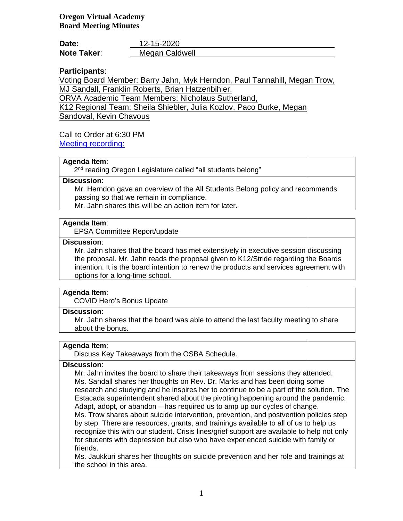| Date:              | 12-15-2020     |
|--------------------|----------------|
| <b>Note Taker:</b> | Megan Caldwell |

# **Participants**:

Voting Board Member: Barry Jahn, Myk Herndon, Paul Tannahill, Megan Trow, MJ Sandall, Franklin Roberts, Brian Hatzenbihler.

ORVA Academic Team Members: Nicholaus Sutherland,

K12 Regional Team: Sheila Shiebler, Julia Kozlov, Paco Burke, Megan

Sandoval, Kevin Chavous

# Call to Order at 6:30 PM

[Meeting recording:](https://k12inc-my.sharepoint.com/personal/mecaldwell_oregonva_org/Documents/Documents/Secretary%20to%20the%20Board/Board%20Meetings/20-21/Decmeber%202020/Regular%20Meeting%2012-15-20/zoom_0.mp4)

# **Agenda Item**:

2<sup>nd</sup> reading Oregon Legislature called "all students belong"

## **Discussion**:

Mr. Herndon gave an overview of the All Students Belong policy and recommends passing so that we remain in compliance.

Mr. Jahn shares this will be an action item for later.

## **Agenda Item**:

EPSA Committee Report/update

# **Discussion**:

Mr. Jahn shares that the board has met extensively in executive session discussing the proposal. Mr. Jahn reads the proposal given to K12/Stride regarding the Boards intention. It is the board intention to renew the products and services agreement with options for a long-time school.

## **Agenda Item**:

COVID Hero's Bonus Update

## **Discussion**:

Mr. Jahn shares that the board was able to attend the last faculty meeting to share about the bonus.

# **Agenda Item**:

Discuss Key Takeaways from the OSBA Schedule.

## **Discussion**:

Mr. Jahn invites the board to share their takeaways from sessions they attended. Ms. Sandall shares her thoughts on Rev. Dr. Marks and has been doing some research and studying and he inspires her to continue to be a part of the solution. The Estacada superintendent shared about the pivoting happening around the pandemic. Adapt, adopt, or abandon – has required us to amp up our cycles of change. Ms. Trow shares about suicide intervention, prevention, and postvention policies step by step. There are resources, grants, and trainings available to all of us to help us recognize this with our student. Crisis lines/grief support are available to help not only for students with depression but also who have experienced suicide with family or friends.

Ms. Jaukkuri shares her thoughts on suicide prevention and her role and trainings at the school in this area.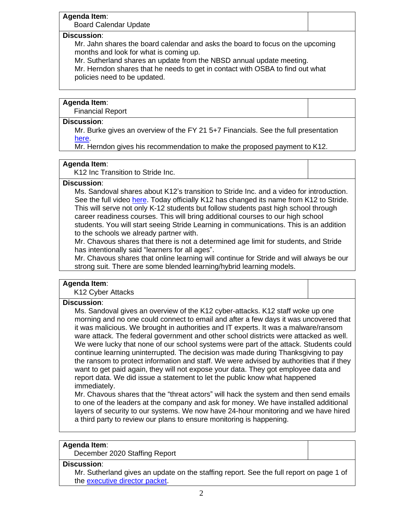## **Agenda Item**:

Board Calendar Update

## **Discussion**:

Mr. Jahn shares the board calendar and asks the board to focus on the upcoming months and look for what is coming up.

Mr. Sutherland shares an update from the NBSD annual update meeting.

Mr. Herndon shares that he needs to get in contact with OSBA to find out what policies need to be updated.

# **Agenda Item**:

Financial Report

# **Discussion**:

Mr. Burke gives an overview of the FY 21 5+7 Financials. See the full presentation [here.](https://k12inc-my.sharepoint.com/personal/mecaldwell_oregonva_org/Documents/Documents/Secretary%20to%20the%20Board/Board%20Meetings/20-21/Decmeber%202020/Regular%20Meeting%2012-15-20/1.%20ORVA%20FY21%205+7%20Financials%20Presentation%20(12-10-20)_final.pptx)

Mr. Herndon gives his recommendation to make the proposed payment to K12.

## **Agenda Item**:

K12 Inc Transition to Stride Inc.

## **Discussion**:

Ms. Sandoval shares about K12's transition to Stride Inc. and a video for introduction. See the full video [here.](https://share.vidyard.com/watch/9cr8ojFMb6NXVPjqZgoUek) Today officially K12 has changed its name from K12 to Stride. This will serve not only K-12 students but follow students past high school through career readiness courses. This will bring additional courses to our high school students. You will start seeing Stride Learning in communications. This is an addition to the schools we already partner with.

Mr. Chavous shares that there is not a determined age limit for students, and Stride has intentionally said "learners for all ages".

Mr. Chavous shares that online learning will continue for Stride and will always be our strong suit. There are some blended learning/hybrid learning models.

## **Agenda Item**:

K12 Cyber Attacks

## **Discussion**:

Ms. Sandoval gives an overview of the K12 cyber-attacks. K12 staff woke up one morning and no one could connect to email and after a few days it was uncovered that it was malicious. We brought in authorities and IT experts. It was a malware/ransom ware attack. The federal government and other school districts were attacked as well. We were lucky that none of our school systems were part of the attack. Students could continue learning uninterrupted. The decision was made during Thanksgiving to pay the ransom to protect information and staff. We were advised by authorities that if they want to get paid again, they will not expose your data. They got employee data and report data. We did issue a statement to let the public know what happened immediately.

Mr. Chavous shares that the "threat actors" will hack the system and then send emails to one of the leaders at the company and ask for money. We have installed additional layers of security to our systems. We now have 24-hour monitoring and we have hired a third party to review our plans to ensure monitoring is happening.

## **Agenda Item**:

December 2020 Staffing Report

## **Discussion**:

Mr. Sutherland gives an update on the staffing report. See the full report on page 1 of the [executive director packet.](https://k12inc-my.sharepoint.com/personal/mecaldwell_oregonva_org/Documents/Documents/Secretary%20to%20the%20Board/Board%20Meetings/20-21/Decmeber%202020/Regular%20Meeting%2012-15-20/Executive%20Director%20Board%20Packet%20December%202020.pdf)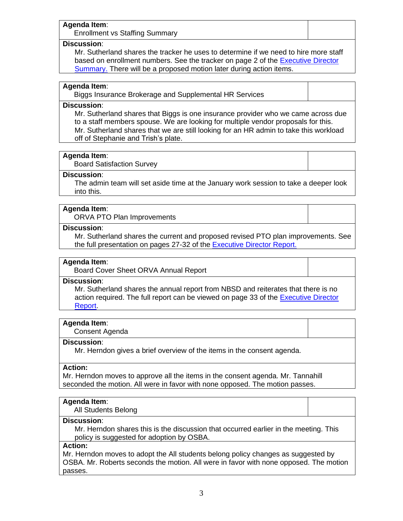## **Agenda Item**:

Enrollment vs Staffing Summary

#### **Discussion**:

Mr. Sutherland shares the tracker he uses to determine if we need to hire more staff based on enrollment numbers. See the tracker on page 2 of the [Executive Director](https://k12inc-my.sharepoint.com/personal/mecaldwell_oregonva_org/Documents/Documents/Secretary%20to%20the%20Board/Board%20Meetings/20-21/Decmeber%202020/Regular%20Meeting%2012-15-20/Executive%20Director%20Board%20Packet%20December%202020.pdf)  [Summary.](https://k12inc-my.sharepoint.com/personal/mecaldwell_oregonva_org/Documents/Documents/Secretary%20to%20the%20Board/Board%20Meetings/20-21/Decmeber%202020/Regular%20Meeting%2012-15-20/Executive%20Director%20Board%20Packet%20December%202020.pdf) There will be a proposed motion later during action items.

# **Agenda Item**:

Biggs Insurance Brokerage and Supplemental HR Services

## **Discussion**:

Mr. Sutherland shares that Biggs is one insurance provider who we came across due to a staff members spouse. We are looking for multiple vendor proposals for this. Mr. Sutherland shares that we are still looking for an HR admin to take this workload off of Stephanie and Trish's plate.

#### **Agenda Item**:

Board Satisfaction Survey

#### **Discussion**:

The admin team will set aside time at the January work session to take a deeper look into this.

## **Agenda Item**:

ORVA PTO Plan Improvements

#### **Discussion**:

Mr. Sutherland shares the current and proposed revised PTO plan improvements. See the full presentation on pages 27-32 of the **Executive Director Report.** 

#### **Agenda Item**:

Board Cover Sheet ORVA Annual Report

#### **Discussion**:

Mr. Sutherland shares the annual report from NBSD and reiterates that there is no action required. The full report can be viewed on page 33 of the [Executive Director](https://k12inc-my.sharepoint.com/personal/mecaldwell_oregonva_org/Documents/Documents/Secretary%20to%20the%20Board/Board%20Meetings/20-21/Decmeber%202020/Regular%20Meeting%2012-15-20/Executive%20Director%20Board%20Packet%20December%202020.pdf)  [Report.](https://k12inc-my.sharepoint.com/personal/mecaldwell_oregonva_org/Documents/Documents/Secretary%20to%20the%20Board/Board%20Meetings/20-21/Decmeber%202020/Regular%20Meeting%2012-15-20/Executive%20Director%20Board%20Packet%20December%202020.pdf)

#### **Agenda Item**:

Consent Agenda

#### **Discussion**:

Mr. Herndon gives a brief overview of the items in the consent agenda.

## **Action:**

Mr. Herndon moves to approve all the items in the consent agenda. Mr. Tannahill seconded the motion. All were in favor with none opposed. The motion passes.

#### **Agenda Item**:

All Students Belong

#### **Discussion**:

Mr. Herndon shares this is the discussion that occurred earlier in the meeting. This policy is suggested for adoption by OSBA.

#### **Action:**

Mr. Herndon moves to adopt the All students belong policy changes as suggested by OSBA. Mr. Roberts seconds the motion. All were in favor with none opposed. The motion passes.